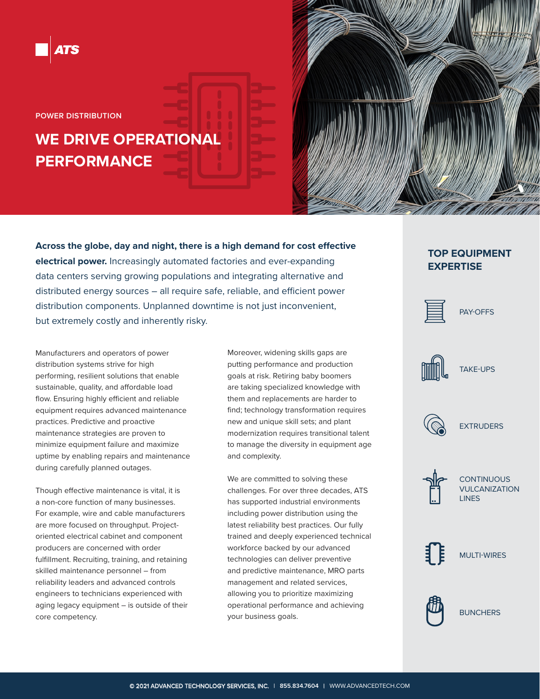

**POWER DISTRIBUTION**

# **WE DRIVE OPERATIONAL PERFORMANCE**

**Across the globe, day and night, there is a high demand for cost effective electrical power.** Increasingly automated factories and ever-expanding data centers serving growing populations and integrating alternative and distributed energy sources – all require safe, reliable, and efficient power distribution components. Unplanned downtime is not just inconvenient, but extremely costly and inherently risky.

Manufacturers and operators of power distribution systems strive for high performing, resilient solutions that enable sustainable, quality, and affordable load flow. Ensuring highly efficient and reliable equipment requires advanced maintenance practices. Predictive and proactive maintenance strategies are proven to minimize equipment failure and maximize uptime by enabling repairs and maintenance during carefully planned outages.

Though effective maintenance is vital, it is a non-core function of many businesses. For example, wire and cable manufacturers are more focused on throughput. Projectoriented electrical cabinet and component producers are concerned with order fulfillment. Recruiting, training, and retaining skilled maintenance personnel – from reliability leaders and advanced controls engineers to technicians experienced with aging legacy equipment – is outside of their core competency.

Moreover, widening skills gaps are putting performance and production goals at risk. Retiring baby boomers are taking specialized knowledge with them and replacements are harder to find; technology transformation requires new and unique skill sets; and plant modernization requires transitional talent to manage the diversity in equipment age and complexity.

We are committed to solving these challenges. For over three decades, ATS has supported industrial environments including power distribution using the latest reliability best practices. Our fully trained and deeply experienced technical workforce backed by our advanced technologies can deliver preventive and predictive maintenance, MRO parts management and related services, allowing you to prioritize maximizing operational performance and achieving your business goals.

## **TOP EQUIPMENT EXPERTISE**



## PAY-OFFS



## TAKE-UPS







#### **CONTINUOUS** VULCANIZATION LINES







**BUNCHERS**